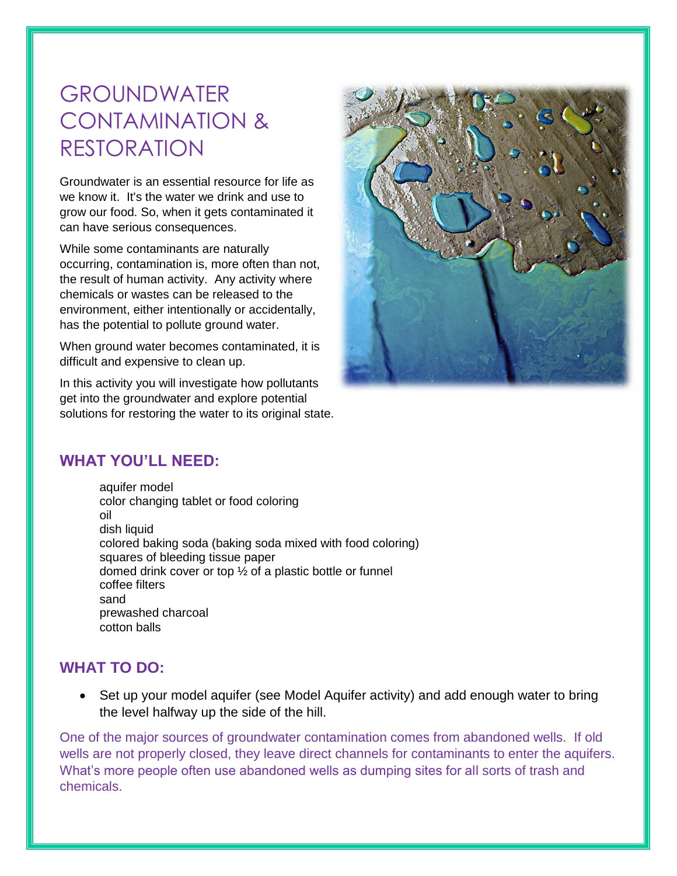# GROUNDWATER CONTAMINATION & RESTORATION

Groundwater is an essential resource for life as we know it. It's the water we drink and use to grow our food. So, when it gets contaminated it can have serious consequences.

While some contaminants are naturally occurring, contamination is, more often than not, the result of human activity. Any activity where chemicals or wastes can be released to the environment, either intentionally or accidentally, has the potential to pollute ground water.

When ground water becomes contaminated, it is difficult and expensive to clean up.

In this activity you will investigate how pollutants get into the groundwater and explore potential solutions for restoring the water to its original state.



# **WHAT YOU'LL NEED:**

aquifer model color changing tablet or food coloring oil dish liquid colored baking soda (baking soda mixed with food coloring) squares of bleeding tissue paper domed drink cover or top ½ of a plastic bottle or funnel coffee filters sand prewashed charcoal cotton balls

# **WHAT TO DO:**

• Set up your model aquifer (see Model Aquifer activity) and add enough water to bring the level halfway up the side of the hill.

One of the major sources of groundwater contamination comes from abandoned wells. If old wells are not properly closed, they leave direct channels for contaminants to enter the aquifers. What's more people often use abandoned wells as dumping sites for all sorts of trash and chemicals.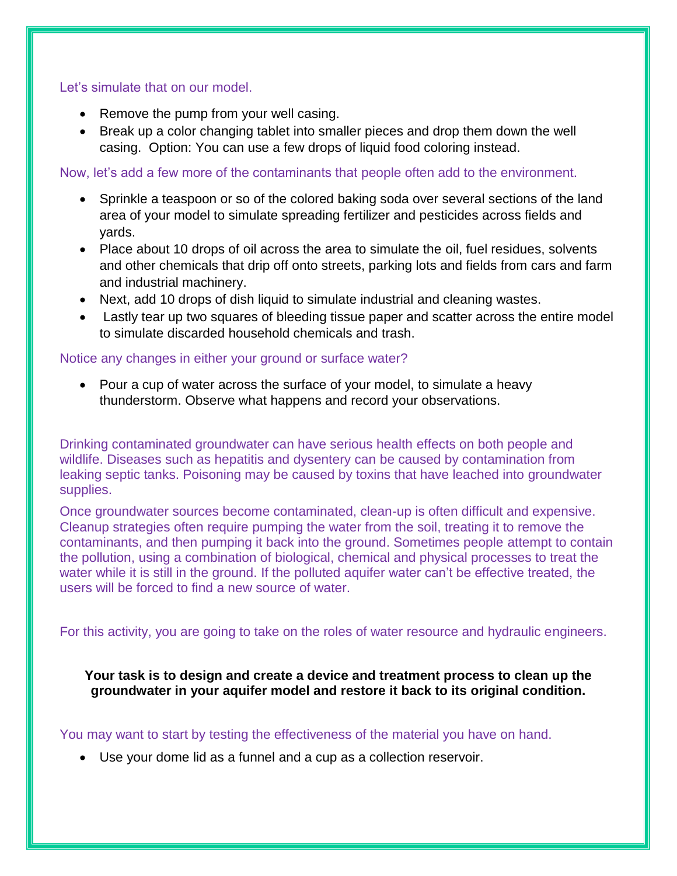#### Let's simulate that on our model.

- Remove the pump from your well casing.
- Break up a color changing tablet into smaller pieces and drop them down the well casing. Option: You can use a few drops of liquid food coloring instead.

Now, let's add a few more of the contaminants that people often add to the environment.

- Sprinkle a teaspoon or so of the colored baking soda over several sections of the land area of your model to simulate spreading fertilizer and pesticides across fields and yards.
- Place about 10 drops of oil across the area to simulate the oil, fuel residues, solvents and other chemicals that drip off onto streets, parking lots and fields from cars and farm and industrial machinery.
- Next, add 10 drops of dish liquid to simulate industrial and cleaning wastes.
- Lastly tear up two squares of bleeding tissue paper and scatter across the entire model to simulate discarded household chemicals and trash.

## Notice any changes in either your ground or surface water?

• Pour a cup of water across the surface of your model, to simulate a heavy thunderstorm. Observe what happens and record your observations.

Drinking contaminated groundwater can have serious health effects on both people and wildlife. Diseases such as hepatitis and dysentery can be caused by contamination from leaking septic tanks. Poisoning may be caused by toxins that have leached into groundwater supplies.

Once groundwater sources become contaminated, clean-up is often difficult and expensive. Cleanup strategies often require pumping the water from the soil, treating it to remove the contaminants, and then pumping it back into the ground. Sometimes people attempt to contain the pollution, using a combination of biological, chemical and physical processes to treat the water while it is still in the ground. If the polluted aquifer water can't be effective treated, the users will be forced to find a new source of water.

For this activity, you are going to take on the roles of water resource and hydraulic engineers.

**Your task is to design and create a device and treatment process to clean up the groundwater in your aquifer model and restore it back to its original condition.**

## You may want to start by testing the effectiveness of the material you have on hand.

Use your dome lid as a funnel and a cup as a collection reservoir.